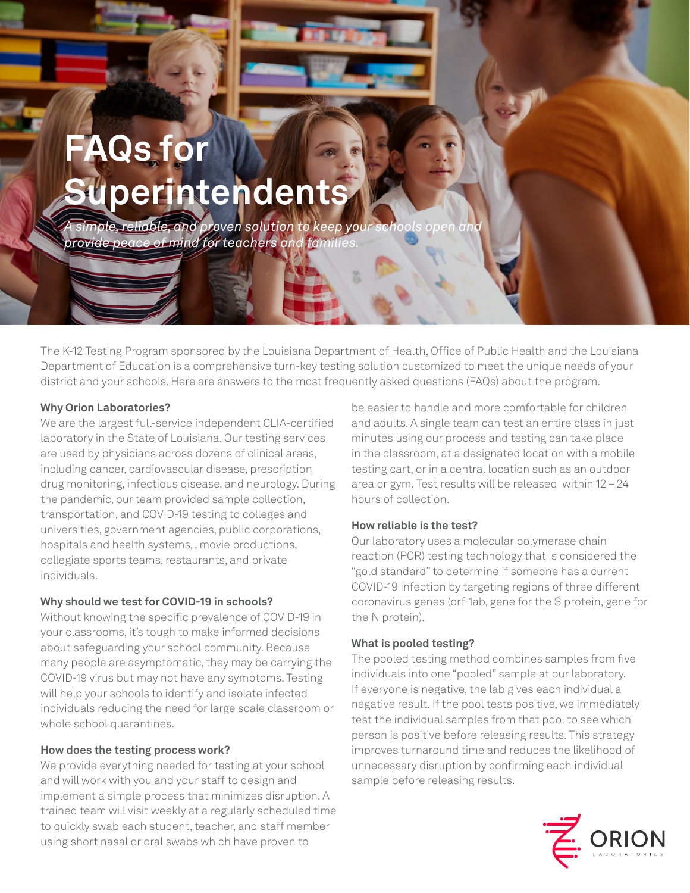# **FAQs for Superintendents**

 $\overline{\mathbf{a}}$  simple, reliable, and proven solution to keep your schools open *provide peace of mind for teachers and families.*

The K-12 Testing Program sponsored by the Louisiana Department of Health, Office of Public Health and the Louisiana Department of Education is a comprehensive turn-key testing solution customized to meet the unique needs of your district and your schools. Here are answers to the most frequently asked questions (FAQs) about the program.

### **Why Orion Laboratories?**

We are the largest full-service independent CLIA-certified laboratory in the State of Louisiana. Our testing services are used by physicians across dozens of clinical areas, including cancer, cardiovascular disease, prescription drug monitoring, infectious disease, and neurology. During the pandemic, our team provided sample collection, transportation, and COVID-19 testing to colleges and universities, government agencies, public corporations, hospitals and health systems, , movie productions, collegiate sports teams, restaurants, and private individuals.

# **Why should we test for COVID-19 in schools?**

Without knowing the specific prevalence of COVID-19 in your classrooms, it's tough to make informed decisions about safeguarding your school community. Because many people are asymptomatic, they may be carrying the COVID-19 virus but may not have any symptoms. Testing will help your schools to identify and isolate infected individuals reducing the need for large scale classroom or whole school quarantines.

# **How does the testing process work?**

We provide everything needed for testing at your school and will work with you and your staff to design and implement a simple process that minimizes disruption. A trained team will visit weekly at a regularly scheduled time to quickly swab each student, teacher, and staff member using short nasal or oral swabs which have proven to

be easier to handle and more comfortable for children and adults. A single team can test an entire class in just minutes using our process and testing can take place in the classroom, at a designated location with a mobile testing cart, or in a central location such as an outdoor area or gym. Test results will be released within 12 – 24 hours of collection.

# **How reliable is the test?**

Our laboratory uses a molecular polymerase chain reaction (PCR) testing technology that is considered the "gold standard" to determine if someone has a current COVID-19 infection by targeting regions of three different coronavirus genes (orf-1ab, gene for the S protein, gene for the N protein).

# **What is pooled testing?**

The pooled testing method combines samples from five individuals into one "pooled" sample at our laboratory. If everyone is negative, the lab gives each individual a negative result. If the pool tests positive, we immediately test the individual samples from that pool to see which person is positive before releasing results. This strategy improves turnaround time and reduces the likelihood of unnecessary disruption by confirming each individual sample before releasing results.